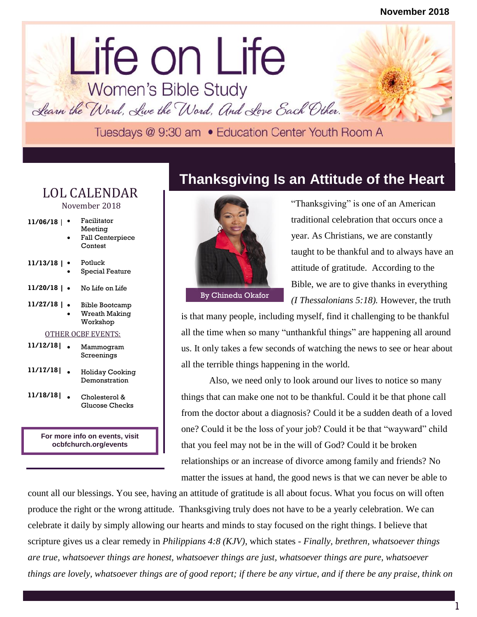## lorem in the contract of the contract of the contract of the contract of the contract of the contract of the contract of the contract of the contract of the contract of the contract of the contract of the contract of the c Life on Life<br>Women's Bible Study

Learn the Word, Live the Word, And Love Each Other.

## LOL CALENDAR November 2018

| 11/06/18                  | Facilitator<br>Meeting<br><b>Fall Centerpiece</b><br>Contest |
|---------------------------|--------------------------------------------------------------|
| 11/13/18                  | Potluck<br>Special Feature                                   |
| 11/20/18                  | No Life on Life                                              |
| 11/27/18  <br>$\bullet$   | Bible Bootcamp<br><b>Wreath Making</b><br>Workshop           |
| <b>OTHER OCBF EVENTS:</b> |                                                              |
| 11/12/18                  | Mammogram<br>Screenings                                      |
| 11/17/18                  | Holiday Cooking<br>Demonstration                             |
| 11/18/18                  | Cholesterol &<br>Glucose Checks                              |

**For more info on events, visit ocbfchurch.org/events**

## **Thanksgiving Is an Attitude of the Heart**



"Thanksgiving" is one of an American traditional celebration that occurs once a year. As Christians, we are constantly taught to be thankful and to always have an attitude of gratitude. According to the Bible, we are to give thanks in everything By Chinedu Okafor *(I Thessalonians 5:18)*. However, the truth

is that many people, including myself, find it challenging to be thankful all the time when so many "unthankful things" are happening all around us. It only takes a few seconds of watching the news to see or hear about all the terrible things happening in the world.

Also, we need only to look around our lives to notice so many things that can make one not to be thankful. Could it be that phone call from the doctor about a diagnosis? Could it be a sudden death of a loved one? Could it be the loss of your job? Could it be that "wayward" child that you feel may not be in the will of God? Could it be broken relationships or an increase of divorce among family and friends? No matter the issues at hand, the good news is that we can never be able to

count all our blessings. You see, having an attitude of gratitude is all about focus. What you focus on will often produce the right or the wrong attitude. Thanksgiving truly does not have to be a yearly celebration. We can celebrate it daily by simply allowing our hearts and minds to stay focused on the right things. I believe that scripture gives us a clear remedy in *Philippians 4:8 (KJV)*, which states - *Finally, brethren, whatsoever things are true, whatsoever things are honest, whatsoever things are just, whatsoever things are pure, whatsoever things are lovely, whatsoever things are of good report; if there be any virtue, and if there be any praise, think on*